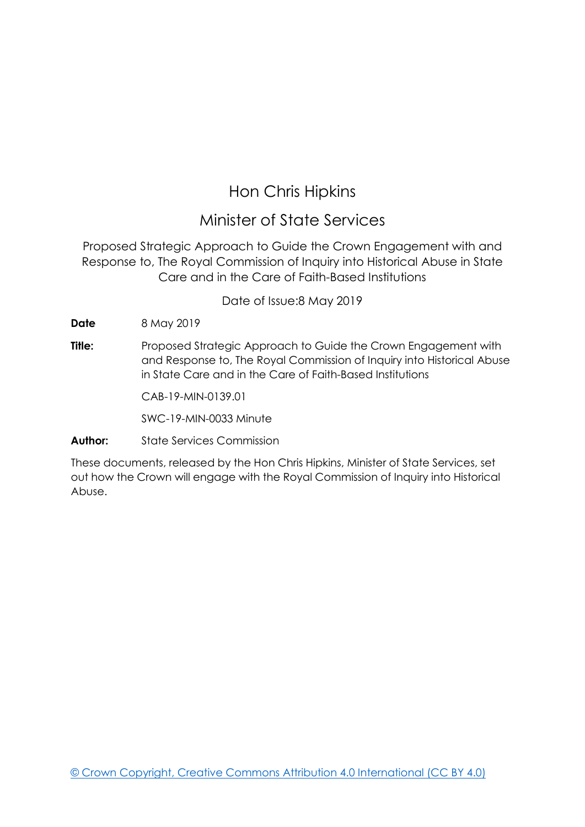## Hon Chris Hipkins

## Minister of State Services

Proposed Strategic Approach to Guide the Crown Engagement with and Response to, The Royal Commission of Inquiry into Historical Abuse in State Care and in the Care of Faith-Based Institutions

Date of Issue:8 May 2019

**Date** 8 May 2019

**Title:** Proposed Strategic Approach to Guide the Crown Engagement with and Response to, The Royal Commission of Inquiry into Historical Abuse in State Care and in the Care of Faith-Based Institutions

CAB-19-MIN-0139.01

SWC-19-MIN-0033 Minute

#### **Author:** State Services Commission

These documents, released by the Hon Chris Hipkins, Minister of State Services, set out how the Crown will engage with the Royal Commission of Inquiry into Historical Abuse.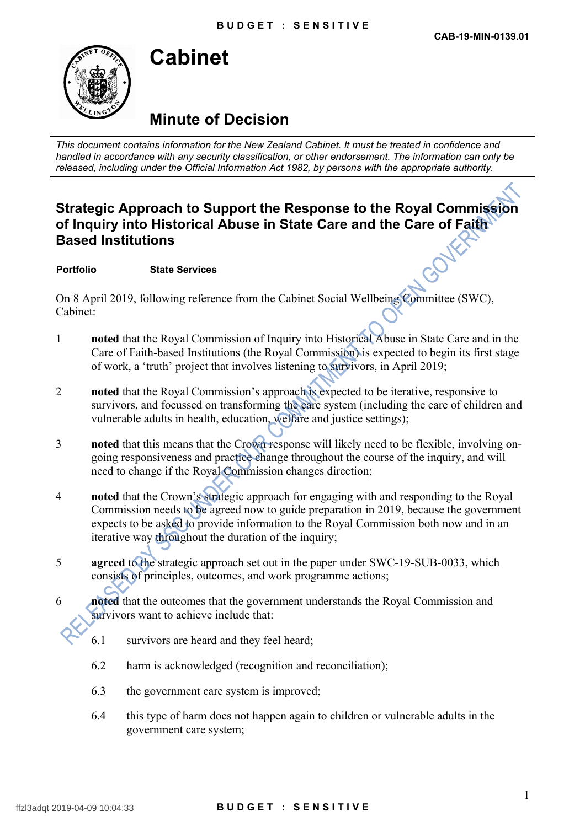

## **Cabinet**

## **Minute of Decision**

*This document contains information for the New Zealand Cabinet. It must be treated in confidence and handled in accordance with any security classification, or other endorsement. The information can only be released, including under the Official Information Act 1982, by persons with the appropriate authority.*

### **Strategic Approach to Support the Response to the Royal Commission of Inquiry into Historical Abuse in State Care and the Care of Faith Based Institutions**

**Portfolio State Services**

On 8 April 2019, following reference from the Cabinet Social Wellbeing Committee (SWC), Cabinet:

- 1 **noted** that the Royal Commission of Inquiry into Historical Abuse in State Care and in the Care of Faith-based Institutions (the Royal Commission) is expected to begin its first stage of work, a 'truth' project that involves listening to survivors, in April 2019;
- 2 **noted** that the Royal Commission's approach is expected to be iterative, responsive to survivors, and focussed on transforming the care system (including the care of children and vulnerable adults in health, education, welfare and justice settings);
- 3 **noted** that this means that the Crown response will likely need to be flexible, involving ongoing responsiveness and practice change throughout the course of the inquiry, and will need to change if the Royal Commission changes direction;
- 4 **noted** that the Crown's strategic approach for engaging with and responding to the Royal Commission needs to be agreed now to guide preparation in 2019, because the government expects to be asked to provide information to the Royal Commission both now and in an iterative way throughout the duration of the inquiry;
- 5 **agreed** to the strategic approach set out in the paper under SWC-19-SUB-0033, which consists of principles, outcomes, and work programme actions;
- 6 **noted** that the outcomes that the government understands the Royal Commission and survivors want to achieve include that:
	- 6.1 survivors are heard and they feel heard;
	- 6.2 harm is acknowledged (recognition and reconciliation);
	- 6.3 the government care system is improved;
	- 6.4 this type of harm does not happen again to children or vulnerable adults in the government care system;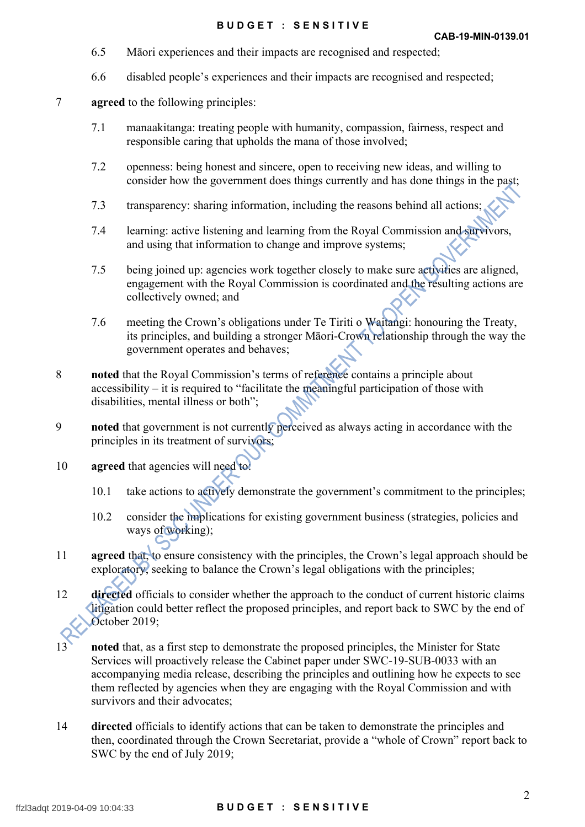- 6.5 Māori experiences and their impacts are recognised and respected;
- 6.6 disabled people's experiences and their impacts are recognised and respected;
- 7 **agreed** to the following principles:
	- 7.1 manaakitanga: treating people with humanity, compassion, fairness, respect and responsible caring that upholds the mana of those involved;
	- 7.2 openness: being honest and sincere, open to receiving new ideas, and willing to consider how the government does things currently and has done things in the past;
	- 7.3 transparency: sharing information, including the reasons behind all actions;
	- 7.4 learning: active listening and learning from the Royal Commission and survivors, and using that information to change and improve systems;
	- 7.5 being joined up: agencies work together closely to make sure activities are aligned, engagement with the Royal Commission is coordinated and the resulting actions are collectively owned; and
	- 7.6 meeting the Crown's obligations under Te Tiriti o Waitangi: honouring the Treaty, its principles, and building a stronger Māori-Crown relationship through the way the government operates and behaves;
- 8 **noted** that the Royal Commission's terms of reference contains a principle about accessibility – it is required to "facilitate the meaningful participation of those with disabilities, mental illness or both";
- 9 **noted** that government is not currently perceived as always acting in accordance with the principles in its treatment of survivors;
- 10 **agreed** that agencies will need to!
	- 10.1 take actions to actively demonstrate the government's commitment to the principles;
	- 10.2 consider the implications for existing government business (strategies, policies and ways of working);
- 11 **agreed** that, to ensure consistency with the principles, the Crown's legal approach should be exploratory, seeking to balance the Crown's legal obligations with the principles;
- 12 **directed** officials to consider whether the approach to the conduct of current historic claims litigation could better reflect the proposed principles, and report back to SWC by the end of October 2019;
- 13 **noted** that, as a first step to demonstrate the proposed principles, the Minister for State Services will proactively release the Cabinet paper under SWC-19-SUB-0033 with an accompanying media release, describing the principles and outlining how he expects to see them reflected by agencies when they are engaging with the Royal Commission and with survivors and their advocates;
- 14 **directed** officials to identify actions that can be taken to demonstrate the principles and then, coordinated through the Crown Secretariat, provide a "whole of Crown" report back to SWC by the end of July 2019;

#### ffzl3adqt 2019-04-09 10:04:33 **B U D G E T : S E N S I T I V E**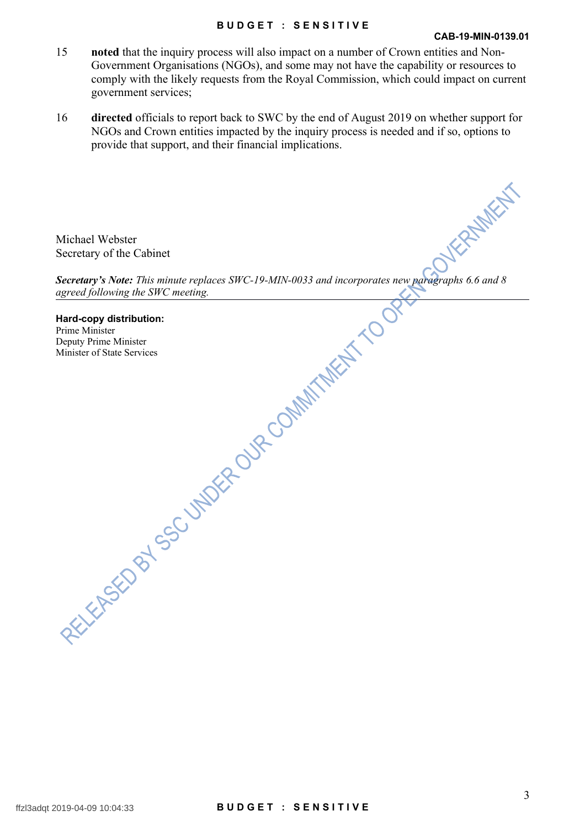#### **B U D G E T : S E N S I T I V E**

#### **CAB-19-MIN-0139.01**

- 15 **noted** that the inquiry process will also impact on a number of Crown entities and Non-Government Organisations (NGOs), and some may not have the capability or resources to comply with the likely requests from the Royal Commission, which could impact on current government services;
- 16 **directed** officials to report back to SWC by the end of August 2019 on whether support for NGOs and Crown entities impacted by the inquiry process is needed and if so, options to provide that support, and their financial implications.

Michael Webster Secretary of the Cabinet

*Secretary of the Cabinet*<br>Secretary's Note: *This minute replaces SWC-19-MIN-0033 and incorporates new paragraphs 6.6 and 8 agreed following the SWC meeting.*

**Hard-copy distribution:** Prime Minister Deputy Prime Minister Minister of State Services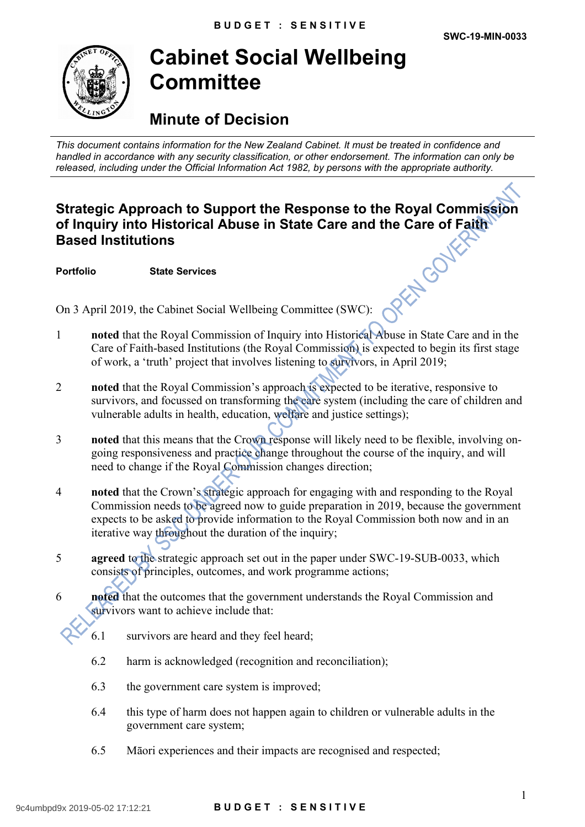

## **Cabinet Social Wellbeing Committee**

## **Minute of Decision**

*This document contains information for the New Zealand Cabinet. It must be treated in confidence and handled in accordance with any security classification, or other endorsement. The information can only be released, including under the Official Information Act 1982, by persons with the appropriate authority.*

# **Strategic Approach to Support the Response to the Royal Commission of Inquiry into Historical Abuse in State Care and the Care of Faith Based Institutions**<br> **Portfolio** State Services<br>
On 3 April 2019, the California **Based Institutions**

**Portfolio State Services**

On 3 April 2019, the Cabinet Social Wellbeing Committee (SWC):

- 1 **noted** that the Royal Commission of Inquiry into Historical Abuse in State Care and in the Care of Faith-based Institutions (the Royal Commission) is expected to begin its first stage of work, a 'truth' project that involves listening to survivors, in April 2019;
- 2 **noted** that the Royal Commission's approach is expected to be iterative, responsive to survivors, and focussed on transforming the care system (including the care of children and vulnerable adults in health, education, welfare and justice settings);
- 3 **noted** that this means that the Crown response will likely need to be flexible, involving ongoing responsiveness and practice change throughout the course of the inquiry, and will need to change if the Royal Commission changes direction;
- 4 **noted** that the Crown's strategic approach for engaging with and responding to the Royal Commission needs to be agreed now to guide preparation in 2019, because the government expects to be asked to provide information to the Royal Commission both now and in an iterative way throughout the duration of the inquiry;
- 5 **agreed** to the strategic approach set out in the paper under SWC-19-SUB-0033, which consists of principles, outcomes, and work programme actions;
- 6 **noted** that the outcomes that the government understands the Royal Commission and survivors want to achieve include that:
	- 6.1 survivors are heard and they feel heard;
	- 6.2 harm is acknowledged (recognition and reconciliation);
	- 6.3 the government care system is improved;
	- 6.4 this type of harm does not happen again to children or vulnerable adults in the government care system;
	- 6.5 Māori experiences and their impacts are recognised and respected;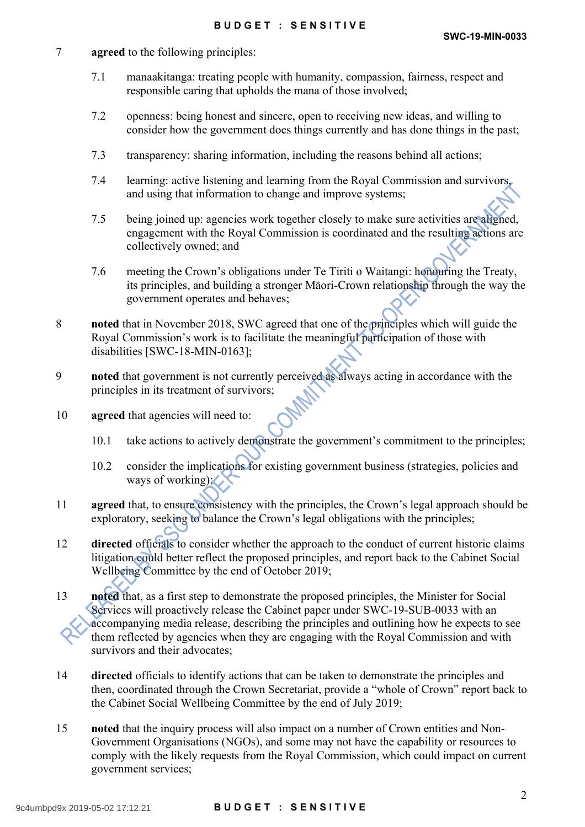#### 7 **agreed** to the following principles:

- 7.1 manaakitanga: treating people with humanity, compassion, fairness, respect and responsible caring that upholds the mana of those involved;
- 7.2 openness: being honest and sincere, open to receiving new ideas, and willing to consider how the government does things currently and has done things in the past;
- 7.3 transparency: sharing information, including the reasons behind all actions;
- 7.4 learning: active listening and learning from the Royal Commission and survivors, and using that information to change and improve systems;
- 7.5 being joined up: agencies work together closely to make sure activities are aligned, engagement with the Royal Commission is coordinated and the resulting actions are collectively owned; and
- 7.6 meeting the Crown's obligations under Te Tiriti o Waitangi: honouring the Treaty, its principles, and building a stronger Māori-Crown relationship through the way the government operates and behaves;
- 8 **noted** that in November 2018, SWC agreed that one of the principles which will guide the Royal Commission's work is to facilitate the meaningful participation of those with disabilities [SWC-18-MIN-0163];
- 9 **noted** that government is not currently perceived as always acting in accordance with the principles in its treatment of survivors;
- 10 **agreed** that agencies will need to:
	- 10.1 take actions to actively demonstrate the government's commitment to the principles;
	- 10.2 consider the implications for existing government business (strategies, policies and ways of working);
- 11 **agreed** that, to ensure consistency with the principles, the Crown's legal approach should be exploratory, seeking to balance the Crown's legal obligations with the principles;
- 12 **directed** officials to consider whether the approach to the conduct of current historic claims litigation could better reflect the proposed principles, and report back to the Cabinet Social Wellbeing Committee by the end of October 2019;
- 13 **noted** that, as a first step to demonstrate the proposed principles, the Minister for Social Services will proactively release the Cabinet paper under SWC-19-SUB-0033 with an accompanying media release, describing the principles and outlining how he expects to see them reflected by agencies when they are engaging with the Royal Commission and with survivors and their advocates;
- 14 **directed** officials to identify actions that can be taken to demonstrate the principles and then, coordinated through the Crown Secretariat, provide a "whole of Crown" report back to the Cabinet Social Wellbeing Committee by the end of July 2019;
- 15 **noted** that the inquiry process will also impact on a number of Crown entities and Non-Government Organisations (NGOs), and some may not have the capability or resources to comply with the likely requests from the Royal Commission, which could impact on current government services;